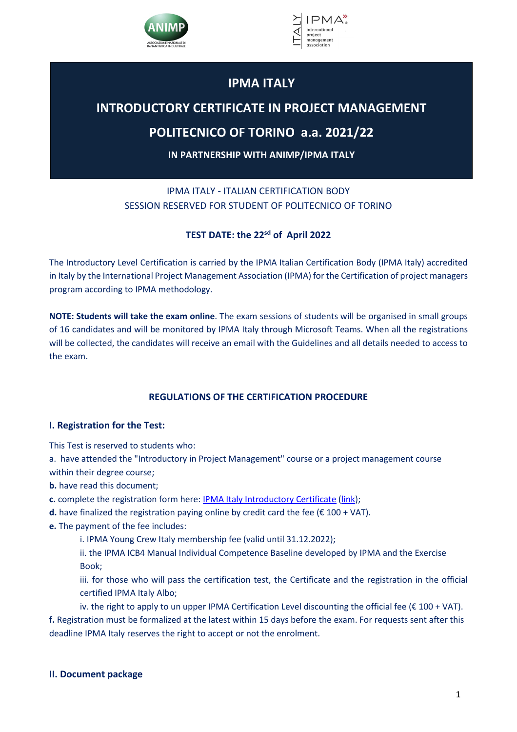



# **IPMA ITALY**

# **INTRODUCTORY CERTIFICATE IN PROJECT MANAGEMENT**

# **POLITECNICO OF TORINO a.a. 2021/22**

**IN PARTNERSHIP WITH ANIMP/IPMA ITALY**

## IPMA ITALY - ITALIAN CERTIFICATION BODY SESSION RESERVED FOR STUDENT OF POLITECNICO OF TORINO

## **TEST DATE: the 22sd of April 2022**

The Introductory Level Certification is carried by the IPMA Italian Certification Body (IPMA Italy) accredited in Italy by the International Project Management Association (IPMA) for the Certification of project managers program according to IPMA methodology.

**NOTE: Students will take the exam online**. The exam sessions of students will be organised in small groups of 16 candidates and will be monitored by IPMA Italy through Microsoft Teams. When all the registrations will be collected, the candidates will receive an email with the Guidelines and all details needed to access to the exam.

## **REGULATIONS OF THE CERTIFICATION PROCEDURE**

### **I. Registration for the Test:**

This Test is reserved to students who:

a. have attended the "Introductory in Project Management" course or a project management course within their degree course;

**b.** have read this document;

**c.** complete the registration form here: IPMA Italy Introductory Certificate (link);

- **d.** have finalized the registration paying online by credit card the fee  $(E 100 + VAT)$ .
- **e.** The payment of the fee includes:

i. IPMA Young Crew Italy membership fee (valid until 31.12.2022);

ii. the IPMA ICB4 Manual Individual Competence Baseline developed by IPMA and the Exercise Book;

iii. for those who will pass the certification test, the Certificate and the registration in the official certified IPMA Italy Albo;

iv. the right to apply to un upper IPMA Certification Level discounting the official fee ( $\epsilon$  100 + VAT). **f.** Registration must be formalized at the latest within 15 days before the exam. For requests sent after this deadline IPMA Italy reserves the right to accept or not the enrolment.

### **II. Document package**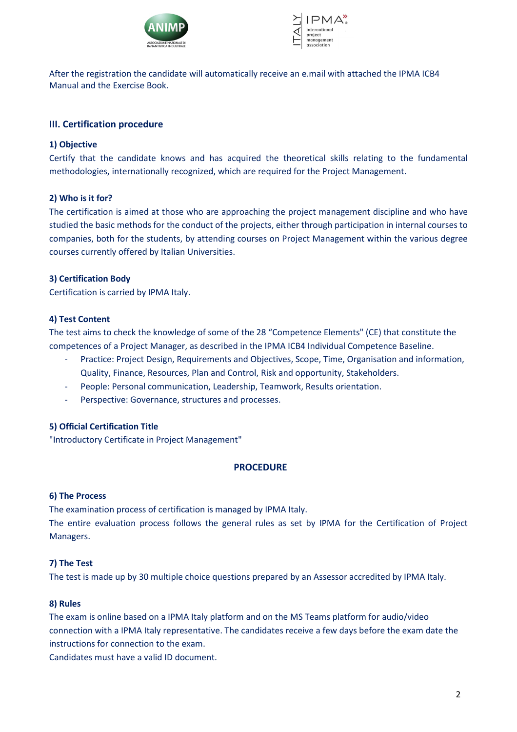



After the registration the candidate will automatically receive an e.mail with attached the IPMA ICB4 Manual and the Exercise Book.

#### **III. Certification procedure**

#### **1) Objective**

Certify that the candidate knows and has acquired the theoretical skills relating to the fundamental methodologies, internationally recognized, which are required for the Project Management.

#### **2) Who is it for?**

The certification is aimed at those who are approaching the project management discipline and who have studied the basic methods for the conduct of the projects, either through participation in internal courses to companies, both for the students, by attending courses on Project Management within the various degree courses currently offered by Italian Universities.

#### **3) Certification Body**

Certification is carried by IPMA Italy.

#### **4) Test Content**

The test aims to check the knowledge of some of the 28 "Competence Elements" (CE) that constitute the competences of a Project Manager, as described in the IPMA ICB4 Individual Competence Baseline.

- Practice: Project Design, Requirements and Objectives, Scope, Time, Organisation and information, Quality, Finance, Resources, Plan and Control, Risk and opportunity, Stakeholders.
- People: Personal communication, Leadership, Teamwork, Results orientation.
- Perspective: Governance, structures and processes.

#### **5) Official Certification Title**

"Introductory Certificate in Project Management"

#### **PROCEDURE**

#### **6) The Process**

The examination process of certification is managed by IPMA Italy.

The entire evaluation process follows the general rules as set by IPMA for the Certification of Project Managers.

#### **7) The Test**

The test is made up by 30 multiple choice questions prepared by an Assessor accredited by IPMA Italy.

#### **8) Rules**

The exam is online based on a IPMA Italy platform and on the MS Teams platform for audio/video connection with a IPMA Italy representative. The candidates receive a few days before the exam date the instructions for connection to the exam.

Candidates must have a valid ID document.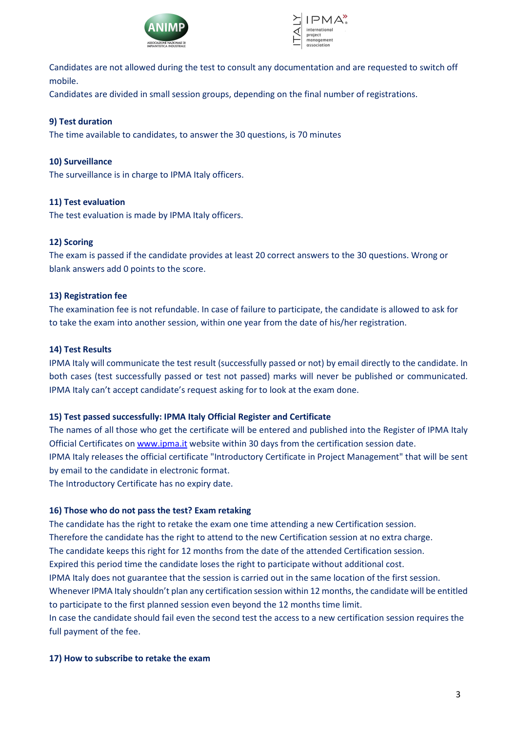



Candidates are not allowed during the test to consult any documentation and are requested to switch off mobile.

Candidates are divided in small session groups, depending on the final number of registrations.

#### **9) Test duration**

The time available to candidates, to answer the 30 questions, is 70 minutes

#### **10) Surveillance**

The surveillance is in charge to IPMA Italy officers.

#### **11) Test evaluation**

The test evaluation is made by IPMA Italy officers.

#### **12) Scoring**

The exam is passed if the candidate provides at least 20 correct answers to the 30 questions. Wrong or blank answers add 0 points to the score.

#### **13) Registration fee**

The examination fee is not refundable. In case of failure to participate, the candidate is allowed to ask for to take the exam into another session, within one year from the date of his/her registration.

#### **14) Test Results**

IPMA Italy will communicate the test result (successfully passed or not) by email directly to the candidate. In both cases (test successfully passed or test not passed) marks will never be published or communicated. IPMA Italy can't accept candidate's request asking for to look at the exam done.

#### **15) Test passed successfully: IPMA Italy Official Register and Certificate**

The names of all those who get the certificate will be entered and published into the Register of IPMA Italy Official Certificates on www.ipma.it website within 30 days from the certification session date. IPMA Italy releases the official certificate "Introductory Certificate in Project Management" that will be sent by email to the candidate in electronic format. The Introductory Certificate has no expiry date.

### **16) Those who do not pass the test? Exam retaking**

The candidate has the right to retake the exam one time attending a new Certification session. Therefore the candidate has the right to attend to the new Certification session at no extra charge. The candidate keeps this right for 12 months from the date of the attended Certification session. Expired this period time the candidate loses the right to participate without additional cost. IPMA Italy does not guarantee that the session is carried out in the same location of the first session. Whenever IPMA Italy shouldn't plan any certification session within 12 months, the candidate will be entitled to participate to the first planned session even beyond the 12 months time limit. In case the candidate should fail even the second test the access to a new certification session requires the

full payment of the fee.

#### **17) How to subscribe to retake the exam**